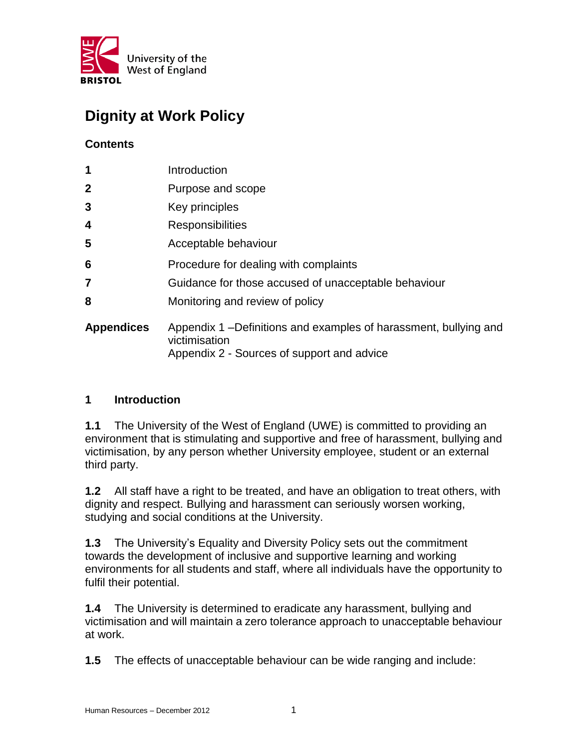

# **Dignity at Work Policy**

# **Contents**

| $\mathbf 1$       | Introduction                                                                                                                     |
|-------------------|----------------------------------------------------------------------------------------------------------------------------------|
| $\mathbf 2$       | Purpose and scope                                                                                                                |
| 3                 | Key principles                                                                                                                   |
| 4                 | <b>Responsibilities</b>                                                                                                          |
| 5                 | Acceptable behaviour                                                                                                             |
| $6\phantom{1}6$   | Procedure for dealing with complaints                                                                                            |
| $\overline{7}$    | Guidance for those accused of unacceptable behaviour                                                                             |
| 8                 | Monitoring and review of policy                                                                                                  |
| <b>Appendices</b> | Appendix 1 – Definitions and examples of harassment, bullying and<br>victimisation<br>Appendix 2 - Sources of support and advice |

# **1 Introduction**

**1.1** The University of the West of England (UWE) is committed to providing an environment that is stimulating and supportive and free of harassment, bullying and victimisation, by any person whether University employee, student or an external third party.

**1.2** All staff have a right to be treated, and have an obligation to treat others, with dignity and respect. Bullying and harassment can seriously worsen working, studying and social conditions at the University.

**1.3** The University's Equality and Diversity Policy sets out the commitment towards the development of inclusive and supportive learning and working environments for all students and staff, where all individuals have the opportunity to fulfil their potential.

**1.4** The University is determined to eradicate any harassment, bullying and victimisation and will maintain a zero tolerance approach to unacceptable behaviour at work.

**1.5** The effects of unacceptable behaviour can be wide ranging and include: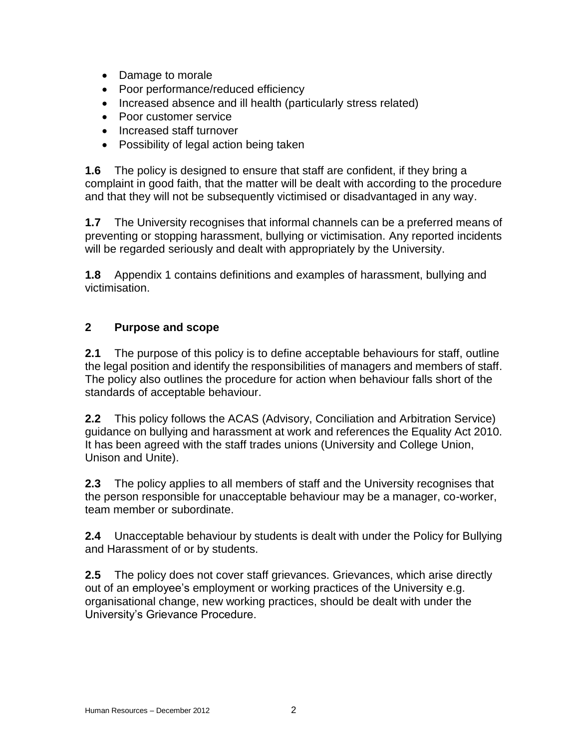- Damage to morale
- Poor performance/reduced efficiency
- Increased absence and ill health (particularly stress related)
- Poor customer service
- Increased staff turnover
- Possibility of legal action being taken

**1.6** The policy is designed to ensure that staff are confident, if they bring a complaint in good faith, that the matter will be dealt with according to the procedure and that they will not be subsequently victimised or disadvantaged in any way.

**1.7** The University recognises that informal channels can be a preferred means of preventing or stopping harassment, bullying or victimisation. Any reported incidents will be regarded seriously and dealt with appropriately by the University.

**1.8** Appendix 1 contains definitions and examples of harassment, bullying and victimisation.

### **2 Purpose and scope**

**2.1** The purpose of this policy is to define acceptable behaviours for staff, outline the legal position and identify the responsibilities of managers and members of staff. The policy also outlines the procedure for action when behaviour falls short of the standards of acceptable behaviour.

**2.2** This policy follows the ACAS (Advisory, Conciliation and Arbitration Service) guidance on bullying and harassment at work and references the Equality Act 2010. It has been agreed with the staff trades unions (University and College Union, Unison and Unite).

**2.3** The policy applies to all members of staff and the University recognises that the person responsible for unacceptable behaviour may be a manager, co-worker, team member or subordinate.

**2.4** Unacceptable behaviour by students is dealt with under the Policy for Bullying and Harassment of or by students.

**2.5** The policy does not cover staff grievances. Grievances, which arise directly out of an employee's employment or working practices of the University e.g. organisational change, new working practices, should be dealt with under the University's Grievance Procedure.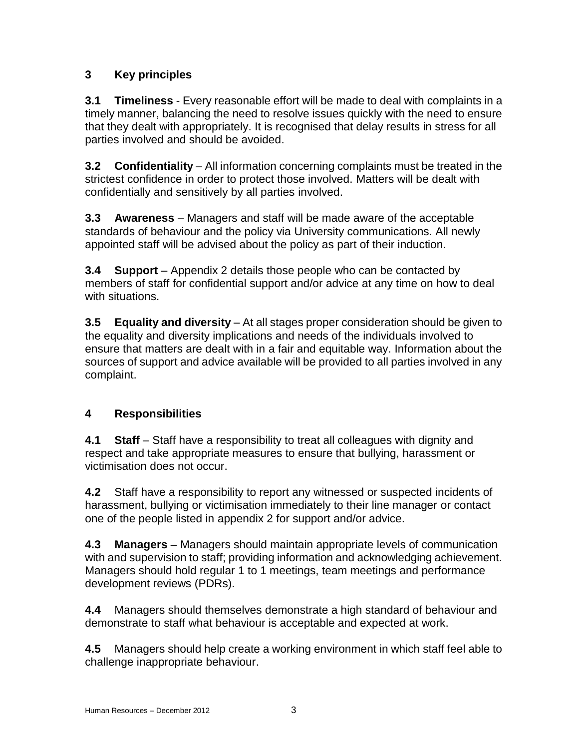# **3 Key principles**

**3.1 Timeliness** - Every reasonable effort will be made to deal with complaints in a timely manner, balancing the need to resolve issues quickly with the need to ensure that they dealt with appropriately. It is recognised that delay results in stress for all parties involved and should be avoided.

**3.2 Confidentiality** – All information concerning complaints must be treated in the strictest confidence in order to protect those involved. Matters will be dealt with confidentially and sensitively by all parties involved.

**3.3 Awareness** – Managers and staff will be made aware of the acceptable standards of behaviour and the policy via University communications. All newly appointed staff will be advised about the policy as part of their induction.

**3.4 Support** – Appendix 2 details those people who can be contacted by members of staff for confidential support and/or advice at any time on how to deal with situations.

**3.5 Equality and diversity** – At all stages proper consideration should be given to the equality and diversity implications and needs of the individuals involved to ensure that matters are dealt with in a fair and equitable way. Information about the sources of support and advice available will be provided to all parties involved in any complaint.

# **4 Responsibilities**

**4.1 Staff** – Staff have a responsibility to treat all colleagues with dignity and respect and take appropriate measures to ensure that bullying, harassment or victimisation does not occur.

**4.2** Staff have a responsibility to report any witnessed or suspected incidents of harassment, bullying or victimisation immediately to their line manager or contact one of the people listed in appendix 2 for support and/or advice.

**4.3 Managers** – Managers should maintain appropriate levels of communication with and supervision to staff; providing information and acknowledging achievement. Managers should hold regular 1 to 1 meetings, team meetings and performance development reviews (PDRs).

**4.4** Managers should themselves demonstrate a high standard of behaviour and demonstrate to staff what behaviour is acceptable and expected at work.

**4.5** Managers should help create a working environment in which staff feel able to challenge inappropriate behaviour.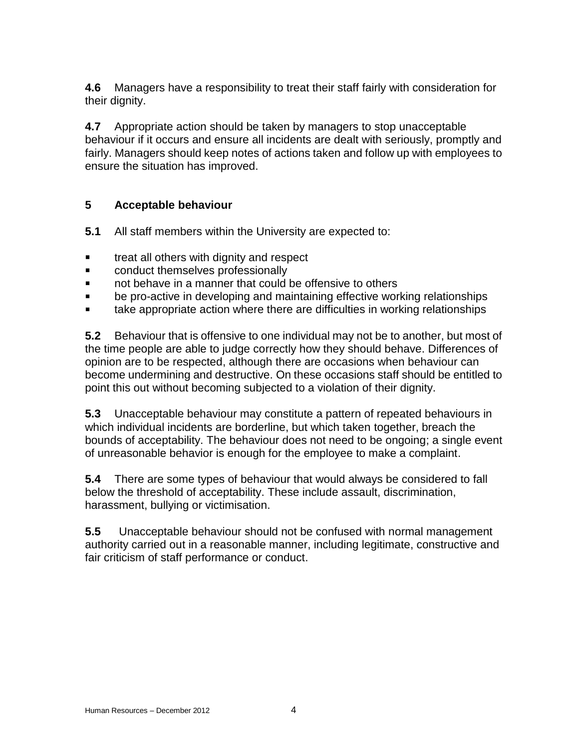**4.6** Managers have a responsibility to treat their staff fairly with consideration for their dignity.

**4.7** Appropriate action should be taken by managers to stop unacceptable behaviour if it occurs and ensure all incidents are dealt with seriously, promptly and fairly. Managers should keep notes of actions taken and follow up with employees to ensure the situation has improved.

# **5 Acceptable behaviour**

- **5.1** All staff members within the University are expected to:
- **treat all others with dignity and respect**
- **EXECONDUCT CONDUCT CONDUCT EXECUTE:**
- not behave in a manner that could be offensive to others
- **EXED:** be pro-active in developing and maintaining effective working relationships
- **take appropriate action where there are difficulties in working relationships**

**5.2** Behaviour that is offensive to one individual may not be to another, but most of the time people are able to judge correctly how they should behave. Differences of opinion are to be respected, although there are occasions when behaviour can become undermining and destructive. On these occasions staff should be entitled to point this out without becoming subjected to a violation of their dignity.

**5.3** Unacceptable behaviour may constitute a pattern of repeated behaviours in which individual incidents are borderline, but which taken together, breach the bounds of acceptability. The behaviour does not need to be ongoing; a single event of unreasonable behavior is enough for the employee to make a complaint.

**5.4** There are some types of behaviour that would always be considered to fall below the threshold of acceptability. These include assault, discrimination, harassment, bullying or victimisation.

**5.5** Unacceptable behaviour should not be confused with normal management authority carried out in a reasonable manner, including legitimate, constructive and fair criticism of staff performance or conduct.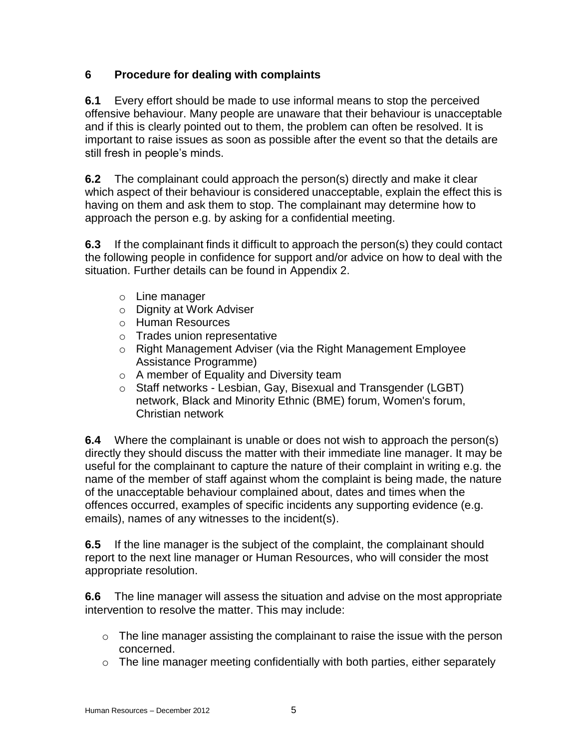# **6 Procedure for dealing with complaints**

**6.1** Every effort should be made to use informal means to stop the perceived offensive behaviour. Many people are unaware that their behaviour is unacceptable and if this is clearly pointed out to them, the problem can often be resolved. It is important to raise issues as soon as possible after the event so that the details are still fresh in people's minds.

**6.2** The complainant could approach the person(s) directly and make it clear which aspect of their behaviour is considered unacceptable, explain the effect this is having on them and ask them to stop. The complainant may determine how to approach the person e.g. by asking for a confidential meeting.

**6.3** If the complainant finds it difficult to approach the person(s) they could contact the following people in confidence for support and/or advice on how to deal with the situation. Further details can be found in Appendix 2.

- o Line manager
- o Dignity at Work Adviser
- o Human Resources
- o Trades union representative
- o Right Management Adviser (via the Right Management Employee Assistance Programme)
- o A member of Equality and Diversity team
- o Staff networks Lesbian, Gay, Bisexual and Transgender (LGBT) network, Black and Minority Ethnic (BME) forum, [Women's forum,](http://imp.uwe.ac.uk/imp_public/displayentry.asp?URN=6000&rp=listEntry.asp&pid=9) [Christian network](http://imp.uwe.ac.uk/imp_public/displayentry.asp?URN=6083&rp=listEntry.asp&pid=9)

**6.4** Where the complainant is unable or does not wish to approach the person(s) directly they should discuss the matter with their immediate line manager. It may be useful for the complainant to capture the nature of their complaint in writing e.g. the name of the member of staff against whom the complaint is being made, the nature of the unacceptable behaviour complained about, dates and times when the offences occurred, examples of specific incidents any supporting evidence (e.g. emails), names of any witnesses to the incident(s).

**6.5** If the line manager is the subject of the complaint, the complainant should report to the next line manager or Human Resources, who will consider the most appropriate resolution.

**6.6** The line manager will assess the situation and advise on the most appropriate intervention to resolve the matter. This may include:

- $\circ$  The line manager assisting the complainant to raise the issue with the person concerned.
- $\circ$  The line manager meeting confidentially with both parties, either separately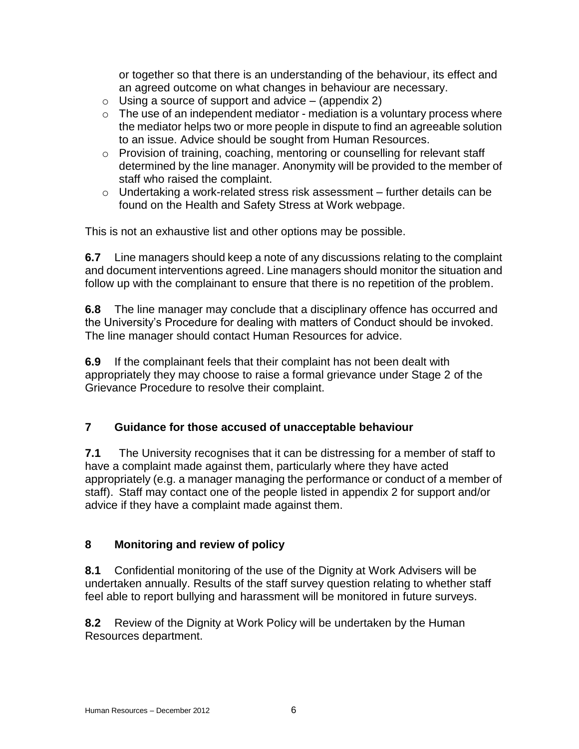or together so that there is an understanding of the behaviour, its effect and an agreed outcome on what changes in behaviour are necessary.

- $\circ$  Using a source of support and advice (appendix 2)
- $\circ$  The use of an independent mediator mediation is a voluntary process where the mediator helps two or more people in dispute to find an agreeable solution to an issue. Advice should be sought from Human Resources.
- o Provision of training, coaching, mentoring or counselling for relevant staff determined by the line manager. Anonymity will be provided to the member of staff who raised the complaint.
- o Undertaking a work-related stress risk assessment further details can be found on the Health and Safety Stress at Work webpage.

This is not an exhaustive list and other options may be possible.

**6.7** Line managers should keep a note of any discussions relating to the complaint and document interventions agreed. Line managers should monitor the situation and follow up with the complainant to ensure that there is no repetition of the problem.

**6.8** The line manager may conclude that a disciplinary offence has occurred and the University's Procedure for dealing with matters of Conduct should be invoked. The line manager should contact Human Resources for advice.

**6.9** If the complainant feels that their complaint has not been dealt with appropriately they may choose to raise a formal grievance under Stage 2 of the Grievance Procedure to resolve their complaint.

# **7 Guidance for those accused of unacceptable behaviour**

**7.1** The University recognises that it can be distressing for a member of staff to have a complaint made against them, particularly where they have acted appropriately (e.g. a manager managing the performance or conduct of a member of staff). Staff may contact one of the people listed in appendix 2 for support and/or advice if they have a complaint made against them.

# **8 Monitoring and review of policy**

**8.1** Confidential monitoring of the use of the Dignity at Work Advisers will be undertaken annually. Results of the staff survey question relating to whether staff feel able to report bullying and harassment will be monitored in future surveys.

**8.2** Review of the Dignity at Work Policy will be undertaken by the Human Resources department.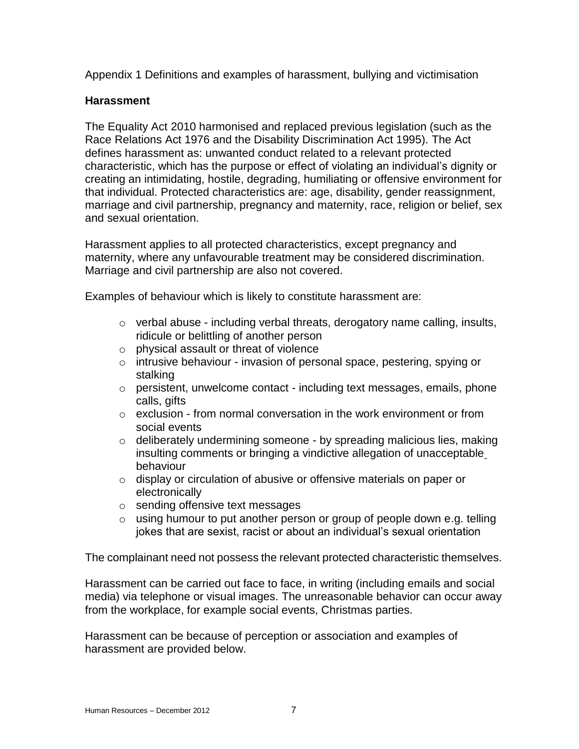Appendix 1 Definitions and examples of harassment, bullying and victimisation

### **Harassment**

The Equality Act 2010 harmonised and replaced previous legislation (such as the Race Relations Act 1976 and the Disability Discrimination Act 1995). The Act defines harassment as: unwanted conduct related to a relevant protected characteristic, which has the purpose or effect of violating an individual's dignity or creating an intimidating, hostile, degrading, humiliating or offensive environment for that individual. Protected characteristics are: age, disability, gender reassignment, marriage and civil partnership, pregnancy and maternity, race, religion or belief, sex and sexual orientation.

Harassment applies to all protected characteristics, except pregnancy and maternity, where any unfavourable treatment may be considered discrimination. Marriage and civil partnership are also not covered.

Examples of behaviour which is likely to constitute harassment are:

- o verbal abuse including verbal threats, derogatory name calling, insults, ridicule or belittling of another person
- o physical assault or threat of violence
- o intrusive behaviour invasion of personal space, pestering, spying or stalking
- o persistent, unwelcome contact including text messages, emails, phone calls, gifts
- $\circ$  exclusion from normal conversation in the work environment or from social events
- o deliberately undermining someone by spreading malicious lies, making insulting comments or bringing a vindictive allegation of unacceptable behaviour
- o display or circulation of abusive or offensive materials on paper or electronically
- o sending offensive text messages
- $\circ$  using humour to put another person or group of people down e.g. telling jokes that are sexist, racist or about an individual's sexual orientation

The complainant need not possess the relevant protected characteristic themselves.

Harassment can be carried out face to face, in writing (including emails and social media) via telephone or visual images. The unreasonable behavior can occur away from the workplace, for example social events, Christmas parties.

Harassment can be because of perception or association and examples of harassment are provided below.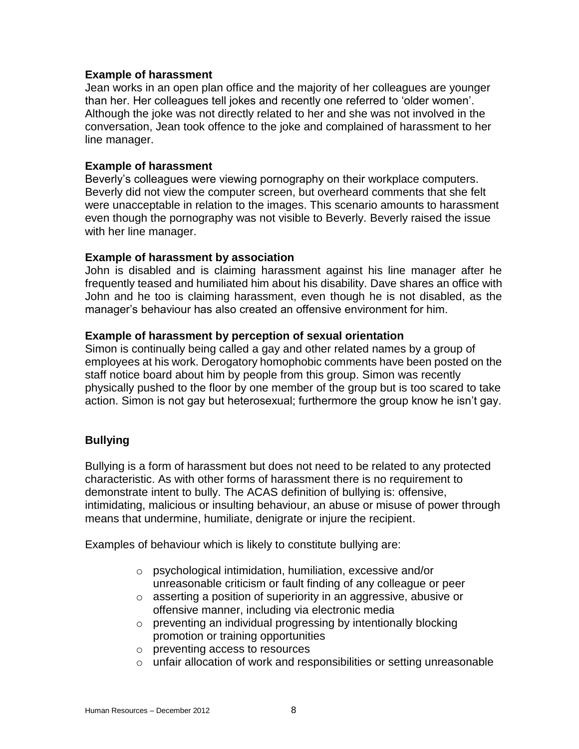#### **Example of harassment**

Jean works in an open plan office and the majority of her colleagues are younger than her. Her colleagues tell jokes and recently one referred to 'older women'. Although the joke was not directly related to her and she was not involved in the conversation, Jean took offence to the joke and complained of harassment to her line manager.

#### **Example of harassment**

Beverly's colleagues were viewing pornography on their workplace computers. Beverly did not view the computer screen, but overheard comments that she felt were unacceptable in relation to the images. This scenario amounts to harassment even though the pornography was not visible to Beverly. Beverly raised the issue with her line manager.

#### **Example of harassment by association**

John is disabled and is claiming harassment against his line manager after he frequently teased and humiliated him about his disability. Dave shares an office with John and he too is claiming harassment, even though he is not disabled, as the manager's behaviour has also created an offensive environment for him.

#### **Example of harassment by perception of sexual orientation**

Simon is continually being called a gay and other related names by a group of employees at his work. Derogatory homophobic comments have been posted on the staff notice board about him by people from this group. Simon was recently physically pushed to the floor by one member of the group but is too scared to take action. Simon is not gay but heterosexual; furthermore the group know he isn't gay.

#### **Bullying**

Bullying is a form of harassment but does not need to be related to any protected characteristic. As with other forms of harassment there is no requirement to demonstrate intent to bully. The ACAS definition of bullying is: offensive, intimidating, malicious or insulting behaviour, an abuse or misuse of power through means that undermine, humiliate, denigrate or injure the recipient.

Examples of behaviour which is likely to constitute bullying are:

- o psychological intimidation, humiliation, excessive and/or unreasonable criticism or fault finding of any colleague or peer
- o asserting a position of superiority in an aggressive, abusive or offensive manner, including via electronic media
- o preventing an individual progressing by intentionally blocking promotion or training opportunities
- o preventing access to resources
- o unfair allocation of work and responsibilities or setting unreasonable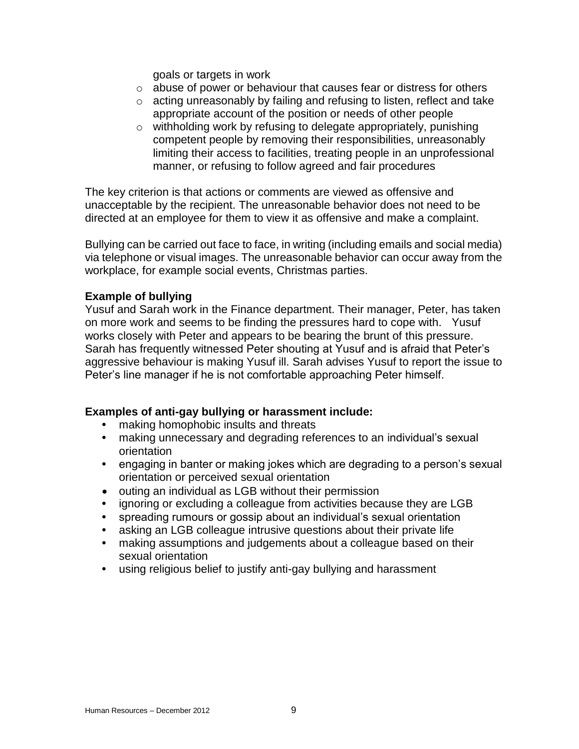goals or targets in work

- $\circ$  abuse of power or behaviour that causes fear or distress for others
- o acting unreasonably by failing and refusing to listen, reflect and take appropriate account of the position or needs of other people
- o withholding work by refusing to delegate appropriately, punishing competent people by removing their responsibilities, unreasonably limiting their access to facilities, treating people in an unprofessional manner, or refusing to follow agreed and fair procedures

The key criterion is that actions or comments are viewed as offensive and unacceptable by the recipient. The unreasonable behavior does not need to be directed at an employee for them to view it as offensive and make a complaint.

Bullying can be carried out face to face, in writing (including emails and social media) via telephone or visual images. The unreasonable behavior can occur away from the workplace, for example social events, Christmas parties.

#### **Example of bullying**

Yusuf and Sarah work in the Finance department. Their manager, Peter, has taken on more work and seems to be finding the pressures hard to cope with. Yusuf works closely with Peter and appears to be bearing the brunt of this pressure. Sarah has frequently witnessed Peter shouting at Yusuf and is afraid that Peter's aggressive behaviour is making Yusuf ill. Sarah advises Yusuf to report the issue to Peter's line manager if he is not comfortable approaching Peter himself.

#### **Examples of anti-gay bullying or harassment include:**

- **•** making homophobic insults and threats
- **•** making unnecessary and degrading references to an individual's sexual orientation
- **•** engaging in banter or making jokes which are degrading to a person's sexual orientation or perceived sexual orientation
- outing an individual as LGB without their permission
- **•** ignoring or excluding a colleague from activities because they are LGB
- **•** spreading rumours or gossip about an individual's sexual orientation
- **•** asking an LGB colleague intrusive questions about their private life
- **•** making assumptions and judgements about a colleague based on their sexual orientation
- **•** using religious belief to justify anti-gay bullying and harassment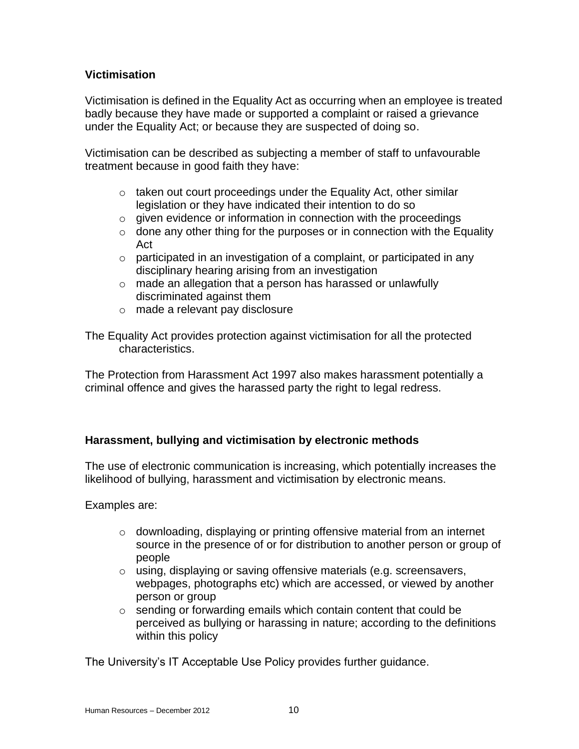### **Victimisation**

Victimisation is defined in the Equality Act as occurring when an employee is treated badly because they have made or supported a complaint or raised a grievance under the Equality Act; or because they are suspected of doing so.

Victimisation can be described as subjecting a member of staff to unfavourable treatment because in good faith they have:

- $\circ$  taken out court proceedings under the Equality Act, other similar legislation or they have indicated their intention to do so
- o given evidence or information in connection with the proceedings
- $\circ$  done any other thing for the purposes or in connection with the Equality Act
- $\circ$  participated in an investigation of a complaint, or participated in any disciplinary hearing arising from an investigation
- $\circ$  made an allegation that a person has harassed or unlawfully discriminated against them
- o made a relevant pay disclosure

The Equality Act provides protection against victimisation for all the protected characteristics.

The Protection from Harassment Act 1997 also makes harassment potentially a criminal offence and gives the harassed party the right to legal redress.

# **Harassment, bullying and victimisation by electronic methods**

The use of electronic communication is increasing, which potentially increases the likelihood of bullying, harassment and victimisation by electronic means.

Examples are:

- $\circ$  downloading, displaying or printing offensive material from an internet source in the presence of or for distribution to another person or group of people
- o using, displaying or saving offensive materials (e.g. screensavers, webpages, photographs etc) which are accessed, or viewed by another person or group
- $\circ$  sending or forwarding emails which contain content that could be perceived as bullying or harassing in nature; according to the definitions within this policy

The University's IT Acceptable Use Policy provides further guidance.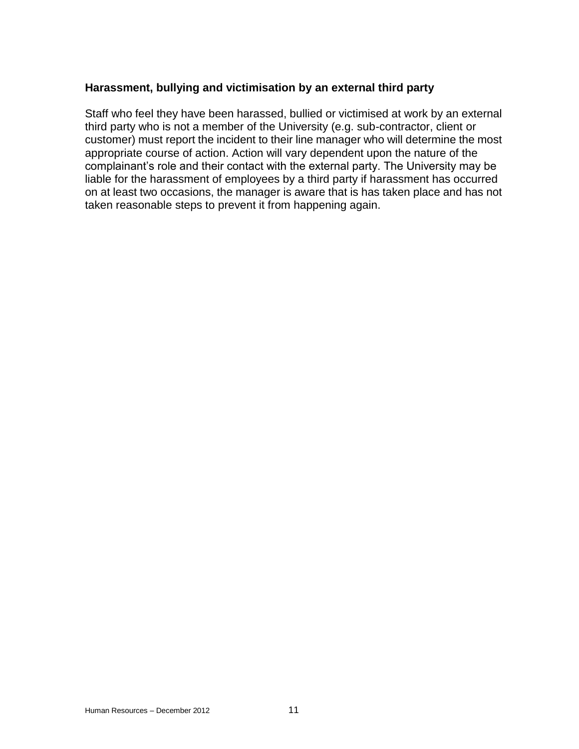#### **Harassment, bullying and victimisation by an external third party**

Staff who feel they have been harassed, bullied or victimised at work by an external third party who is not a member of the University (e.g. sub-contractor, client or customer) must report the incident to their line manager who will determine the most appropriate course of action. Action will vary dependent upon the nature of the complainant's role and their contact with the external party. The University may be liable for the harassment of employees by a third party if harassment has occurred on at least two occasions, the manager is aware that is has taken place and has not taken reasonable steps to prevent it from happening again.